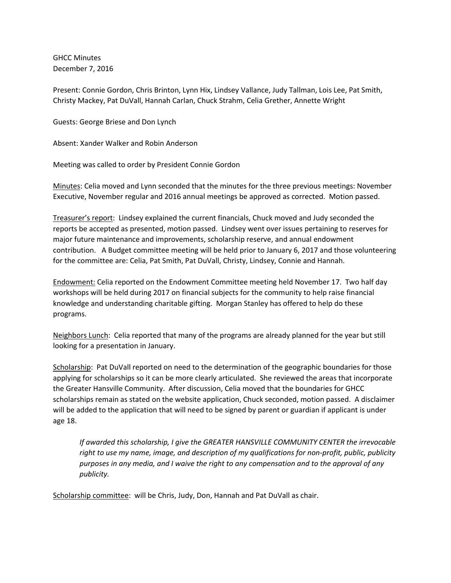GHCC Minutes December 7, 2016

Present: Connie Gordon, Chris Brinton, Lynn Hix, Lindsey Vallance, Judy Tallman, Lois Lee, Pat Smith, Christy Mackey, Pat DuVall, Hannah Carlan, Chuck Strahm, Celia Grether, Annette Wright

Guests: George Briese and Don Lynch

Absent: Xander Walker and Robin Anderson

Meeting was called to order by President Connie Gordon

Minutes: Celia moved and Lynn seconded that the minutes for the three previous meetings: November Executive, November regular and 2016 annual meetings be approved as corrected. Motion passed.

Treasurer's report: Lindsey explained the current financials, Chuck moved and Judy seconded the reports be accepted as presented, motion passed. Lindsey went over issues pertaining to reserves for major future maintenance and improvements, scholarship reserve, and annual endowment contribution. A Budget committee meeting will be held prior to January 6, 2017 and those volunteering for the committee are: Celia, Pat Smith, Pat DuVall, Christy, Lindsey, Connie and Hannah.

Endowment: Celia reported on the Endowment Committee meeting held November 17. Two half day workshops will be held during 2017 on financial subjects for the community to help raise financial knowledge and understanding charitable gifting. Morgan Stanley has offered to help do these programs.

Neighbors Lunch: Celia reported that many of the programs are already planned for the year but still looking for a presentation in January.

Scholarship: Pat DuVall reported on need to the determination of the geographic boundaries for those applying for scholarships so it can be more clearly articulated. She reviewed the areas that incorporate the Greater Hansville Community. After discussion, Celia moved that the boundaries for GHCC scholarships remain as stated on the website application, Chuck seconded, motion passed. A disclaimer will be added to the application that will need to be signed by parent or guardian if applicant is under age 18.

*If awarded this scholarship, I give the GREATER HANSVILLE COMMUNITY CENTER the irrevocable right to use my name, image, and description of my qualifications for non-profit, public, publicity purposes in any media, and I waive the right to any compensation and to the approval of any publicity.*

Scholarship committee: will be Chris, Judy, Don, Hannah and Pat DuVall as chair.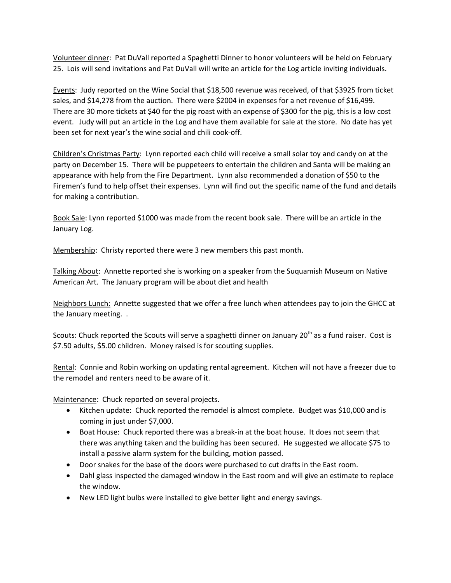Volunteer dinner: Pat DuVall reported a Spaghetti Dinner to honor volunteers will be held on February 25. Lois will send invitations and Pat DuVall will write an article for the Log article inviting individuals.

Events: Judy reported on the Wine Social that \$18,500 revenue was received, of that \$3925 from ticket sales, and \$14,278 from the auction. There were \$2004 in expenses for a net revenue of \$16,499. There are 30 more tickets at \$40 for the pig roast with an expense of \$300 for the pig, this is a low cost event. Judy will put an article in the Log and have them available for sale at the store. No date has yet been set for next year's the wine social and chili cook-off.

Children's Christmas Party: Lynn reported each child will receive a small solar toy and candy on at the party on December 15. There will be puppeteers to entertain the children and Santa will be making an appearance with help from the Fire Department. Lynn also recommended a donation of \$50 to the Firemen's fund to help offset their expenses. Lynn will find out the specific name of the fund and details for making a contribution.

Book Sale: Lynn reported \$1000 was made from the recent book sale. There will be an article in the January Log.

Membership: Christy reported there were 3 new members this past month.

Talking About: Annette reported she is working on a speaker from the Suquamish Museum on Native American Art. The January program will be about diet and health

Neighbors Lunch: Annette suggested that we offer a free lunch when attendees pay to join the GHCC at the January meeting. .

Scouts: Chuck reported the Scouts will serve a spaghetti dinner on January 20<sup>th</sup> as a fund raiser. Cost is \$7.50 adults, \$5.00 children. Money raised is for scouting supplies.

Rental: Connie and Robin working on updating rental agreement. Kitchen will not have a freezer due to the remodel and renters need to be aware of it.

Maintenance: Chuck reported on several projects.

- Kitchen update: Chuck reported the remodel is almost complete. Budget was \$10,000 and is coming in just under \$7,000.
- Boat House: Chuck reported there was a break-in at the boat house. It does not seem that there was anything taken and the building has been secured. He suggested we allocate \$75 to install a passive alarm system for the building, motion passed.
- Door snakes for the base of the doors were purchased to cut drafts in the East room.
- Dahl glass inspected the damaged window in the East room and will give an estimate to replace the window.
- New LED light bulbs were installed to give better light and energy savings.